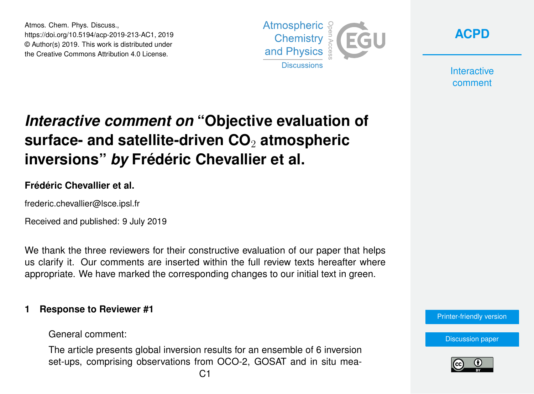Atmos. Chem. Phys. Discuss., https://doi.org/10.5194/acp-2019-213-AC1, 2019 © Author(s) 2019. This work is distributed under the Creative Commons Attribution 4.0 License.





**Interactive** comment

# *Interactive comment on* **"Objective evaluation of surface- and satellite-driven CO**<sup>2</sup> **atmospheric inversions"** *by* **Frédéric Chevallier et al.**

#### **Frédéric Chevallier et al.**

frederic.chevallier@lsce.ipsl.fr

Received and published: 9 July 2019

We thank the three reviewers for their constructive evaluation of our paper that helps us clarify it. Our comments are inserted within the full review texts hereafter where appropriate. We have marked the corresponding changes to our initial text in green.

#### **1 Response to Reviewer #1**

General comment:

The article presents global inversion results for an ensemble of 6 inversion set-ups, comprising observations from OCO-2, GOSAT and in situ mea-

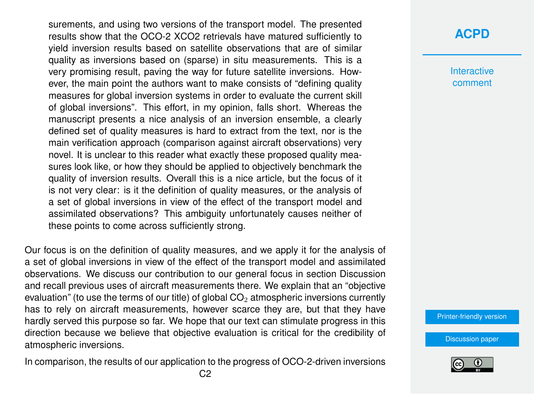surements, and using two versions of the transport model. The presented results show that the OCO-2 XCO2 retrievals have matured sufficiently to yield inversion results based on satellite observations that are of similar quality as inversions based on (sparse) in situ measurements. This is a very promising result, paving the way for future satellite inversions. However, the main point the authors want to make consists of "defining quality measures for global inversion systems in order to evaluate the current skill of global inversions". This effort, in my opinion, falls short. Whereas the manuscript presents a nice analysis of an inversion ensemble, a clearly defined set of quality measures is hard to extract from the text, nor is the main verification approach (comparison against aircraft observations) very novel. It is unclear to this reader what exactly these proposed quality measures look like, or how they should be applied to objectively benchmark the quality of inversion results. Overall this is a nice article, but the focus of it is not very clear: is it the definition of quality measures, or the analysis of a set of global inversions in view of the effect of the transport model and assimilated observations? This ambiguity unfortunately causes neither of these points to come across sufficiently strong.

Our focus is on the definition of quality measures, and we apply it for the analysis of a set of global inversions in view of the effect of the transport model and assimilated observations. We discuss our contribution to our general focus in section Discussion and recall previous uses of aircraft measurements there. We explain that an "objective evaluation" (to use the terms of our title) of global  $CO<sub>2</sub>$  atmospheric inversions currently has to rely on aircraft measurements, however scarce they are, but that they have hardly served this purpose so far. We hope that our text can stimulate progress in this direction because we believe that objective evaluation is critical for the credibility of atmospheric inversions.

In comparison, the results of our application to the progress of OCO-2-driven inversions

### **[ACPD](https://www.atmos-chem-phys-discuss.net/)**

**Interactive** comment

[Printer-friendly version](https://www.atmos-chem-phys-discuss.net/acp-2019-213/acp-2019-213-AC1-print.pdf)

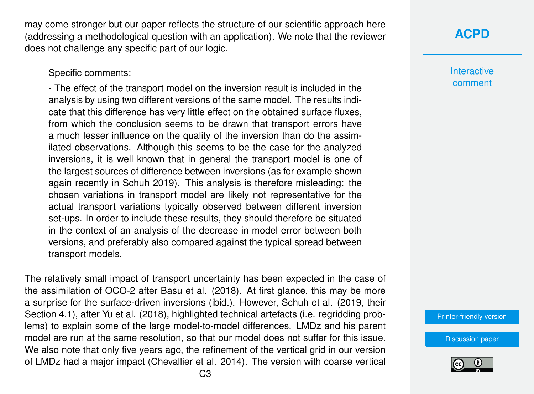may come stronger but our paper reflects the structure of our scientific approach here (addressing a methodological question with an application). We note that the reviewer does not challenge any specific part of our logic.

Specific comments:

- The effect of the transport model on the inversion result is included in the analysis by using two different versions of the same model. The results indicate that this difference has very little effect on the obtained surface fluxes, from which the conclusion seems to be drawn that transport errors have a much lesser influence on the quality of the inversion than do the assimilated observations. Although this seems to be the case for the analyzed inversions, it is well known that in general the transport model is one of the largest sources of difference between inversions (as for example shown again recently in Schuh 2019). This analysis is therefore misleading: the chosen variations in transport model are likely not representative for the actual transport variations typically observed between different inversion set-ups. In order to include these results, they should therefore be situated in the context of an analysis of the decrease in model error between both versions, and preferably also compared against the typical spread between transport models.

The relatively small impact of transport uncertainty has been expected in the case of the assimilation of OCO-2 after Basu et al. (2018). At first glance, this may be more a surprise for the surface-driven inversions (ibid.). However, Schuh et al. (2019, their Section 4.1), after Yu et al. (2018), highlighted technical artefacts (i.e. regridding problems) to explain some of the large model-to-model differences. LMDz and his parent model are run at the same resolution, so that our model does not suffer for this issue. We also note that only five years ago, the refinement of the vertical grid in our version of LMDz had a major impact (Chevallier et al. 2014). The version with coarse vertical **Interactive** comment

[Printer-friendly version](https://www.atmos-chem-phys-discuss.net/acp-2019-213/acp-2019-213-AC1-print.pdf)

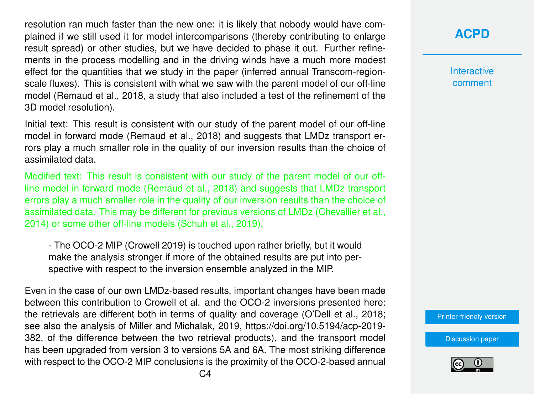resolution ran much faster than the new one: it is likely that nobody would have complained if we still used it for model intercomparisons (thereby contributing to enlarge result spread) or other studies, but we have decided to phase it out. Further refinements in the process modelling and in the driving winds have a much more modest effect for the quantities that we study in the paper (inferred annual Transcom-regionscale fluxes). This is consistent with what we saw with the parent model of our off-line model (Remaud et al., 2018, a study that also included a test of the refinement of the 3D model resolution).

Initial text: This result is consistent with our study of the parent model of our off-line model in forward mode (Remaud et al., 2018) and suggests that LMDz transport errors play a much smaller role in the quality of our inversion results than the choice of assimilated data.

Modified text: This result is consistent with our study of the parent model of our offline model in forward mode (Remaud et al., 2018) and suggests that LMDz transport errors play a much smaller role in the quality of our inversion results than the choice of assimilated data. This may be different for previous versions of LMDz (Chevallier et al., 2014) or some other off-line models (Schuh et al., 2019).

- The OCO-2 MIP (Crowell 2019) is touched upon rather briefly, but it would make the analysis stronger if more of the obtained results are put into perspective with respect to the inversion ensemble analyzed in the MIP.

Even in the case of our own LMDz-based results, important changes have been made between this contribution to Crowell et al. and the OCO-2 inversions presented here: the retrievals are different both in terms of quality and coverage (O'Dell et al., 2018; see also the analysis of Miller and Michalak, 2019, https://doi.org/10.5194/acp-2019- 382, of the difference between the two retrieval products), and the transport model has been upgraded from version 3 to versions 5A and 6A. The most striking difference with respect to the OCO-2 MIP conclusions is the proximity of the OCO-2-based annual

## **[ACPD](https://www.atmos-chem-phys-discuss.net/)**

**Interactive** comment

[Printer-friendly version](https://www.atmos-chem-phys-discuss.net/acp-2019-213/acp-2019-213-AC1-print.pdf)

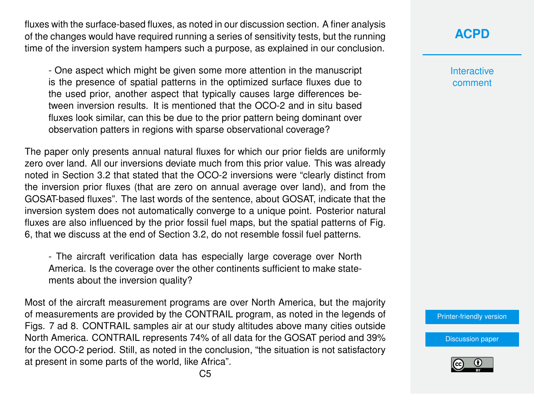fluxes with the surface-based fluxes, as noted in our discussion section. A finer analysis of the changes would have required running a series of sensitivity tests, but the running time of the inversion system hampers such a purpose, as explained in our conclusion.

- One aspect which might be given some more attention in the manuscript is the presence of spatial patterns in the optimized surface fluxes due to the used prior, another aspect that typically causes large differences between inversion results. It is mentioned that the OCO-2 and in situ based fluxes look similar, can this be due to the prior pattern being dominant over observation patters in regions with sparse observational coverage?

The paper only presents annual natural fluxes for which our prior fields are uniformly zero over land. All our inversions deviate much from this prior value. This was already noted in Section 3.2 that stated that the OCO-2 inversions were "clearly distinct from the inversion prior fluxes (that are zero on annual average over land), and from the GOSAT-based fluxes". The last words of the sentence, about GOSAT, indicate that the inversion system does not automatically converge to a unique point. Posterior natural fluxes are also influenced by the prior fossil fuel maps, but the spatial patterns of Fig. 6, that we discuss at the end of Section 3.2, do not resemble fossil fuel patterns.

- The aircraft verification data has especially large coverage over North America. Is the coverage over the other continents sufficient to make statements about the inversion quality?

Most of the aircraft measurement programs are over North America, but the majority of measurements are provided by the CONTRAIL program, as noted in the legends of Figs. 7 ad 8. CONTRAIL samples air at our study altitudes above many cities outside North America. CONTRAIL represents 74% of all data for the GOSAT period and 39% for the OCO-2 period. Still, as noted in the conclusion, "the situation is not satisfactory at present in some parts of the world, like Africa".

**[ACPD](https://www.atmos-chem-phys-discuss.net/)**

**Interactive** comment

[Printer-friendly version](https://www.atmos-chem-phys-discuss.net/acp-2019-213/acp-2019-213-AC1-print.pdf)

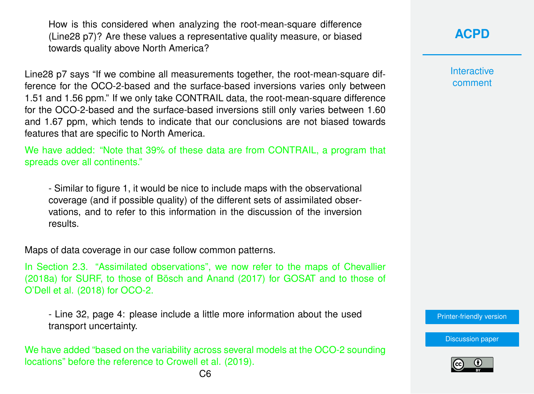How is this considered when analyzing the root-mean-square difference (Line28 p7)? Are these values a representative quality measure, or biased towards quality above North America?

Line28 p7 says "If we combine all measurements together, the root-mean-square difference for the OCO-2-based and the surface-based inversions varies only between 1.51 and 1.56 ppm." If we only take CONTRAIL data, the root-mean-square difference for the OCO-2-based and the surface-based inversions still only varies between 1.60 and 1.67 ppm, which tends to indicate that our conclusions are not biased towards features that are specific to North America.

We have added: "Note that 39% of these data are from CONTRAIL, a program that spreads over all continents."

- Similar to figure 1, it would be nice to include maps with the observational coverage (and if possible quality) of the different sets of assimilated observations, and to refer to this information in the discussion of the inversion results.

Maps of data coverage in our case follow common patterns.

In Section 2.3. "Assimilated observations", we now refer to the maps of Chevallier (2018a) for SURF, to those of Bösch and Anand (2017) for GOSAT and to those of O'Dell et al. (2018) for OCO-2.

- Line 32, page 4: please include a little more information about the used transport uncertainty.

We have added "based on the variability across several models at the OCO-2 sounding locations" before the reference to Crowell et al. (2019).

### **[ACPD](https://www.atmos-chem-phys-discuss.net/)**

**Interactive** comment

[Printer-friendly version](https://www.atmos-chem-phys-discuss.net/acp-2019-213/acp-2019-213-AC1-print.pdf)

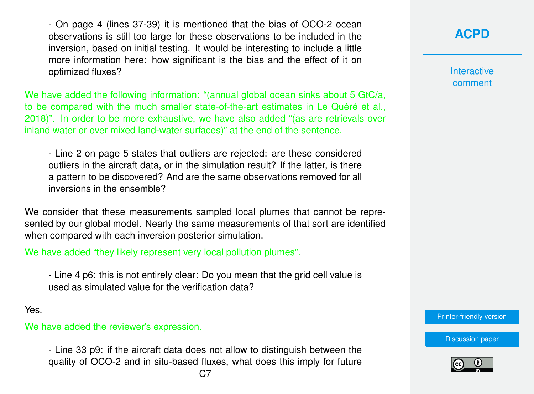- On page 4 (lines 37-39) it is mentioned that the bias of OCO-2 ocean observations is still too large for these observations to be included in the inversion, based on initial testing. It would be interesting to include a little more information here: how significant is the bias and the effect of it on optimized fluxes?

We have added the following information: "(annual global ocean sinks about 5 GtC/a, to be compared with the much smaller state-of-the-art estimates in Le Quéré et al., 2018)". In order to be more exhaustive, we have also added "(as are retrievals over inland water or over mixed land-water surfaces)" at the end of the sentence.

- Line 2 on page 5 states that outliers are rejected: are these considered outliers in the aircraft data, or in the simulation result? If the latter, is there a pattern to be discovered? And are the same observations removed for all inversions in the ensemble?

We consider that these measurements sampled local plumes that cannot be represented by our global model. Nearly the same measurements of that sort are identified when compared with each inversion posterior simulation.

We have added "they likely represent very local pollution plumes".

- Line 4 p6: this is not entirely clear: Do you mean that the grid cell value is used as simulated value for the verification data?

Yes.

#### We have added the reviewer's expression.

- Line 33 p9: if the aircraft data does not allow to distinguish between the quality of OCO-2 and in situ-based fluxes, what does this imply for future **Interactive** comment

[Printer-friendly version](https://www.atmos-chem-phys-discuss.net/acp-2019-213/acp-2019-213-AC1-print.pdf)

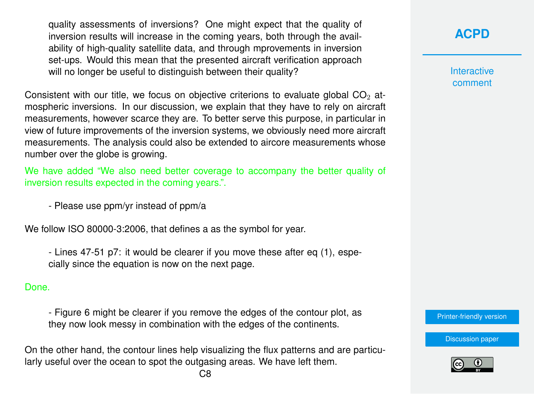quality assessments of inversions? One might expect that the quality of inversion results will increase in the coming years, both through the availability of high-quality satellite data, and through mprovements in inversion set-ups. Would this mean that the presented aircraft verification approach will no longer be useful to distinguish between their quality?

Consistent with our title, we focus on objective criterions to evaluate global  $CO<sub>2</sub>$  atmospheric inversions. In our discussion, we explain that they have to rely on aircraft measurements, however scarce they are. To better serve this purpose, in particular in view of future improvements of the inversion systems, we obviously need more aircraft measurements. The analysis could also be extended to aircore measurements whose number over the globe is growing.

We have added "We also need better coverage to accompany the better quality of inversion results expected in the coming years.".

- Please use ppm/yr instead of ppm/a

We follow ISO 80000-3:2006, that defines a as the symbol for year.

- Lines 47-51 p7: it would be clearer if you move these after eq (1), especially since the equation is now on the next page.

#### Done.

- Figure 6 might be clearer if you remove the edges of the contour plot, as they now look messy in combination with the edges of the continents.

On the other hand, the contour lines help visualizing the flux patterns and are particularly useful over the ocean to spot the outgasing areas. We have left them.

### **[ACPD](https://www.atmos-chem-phys-discuss.net/)**

**Interactive** comment

[Printer-friendly version](https://www.atmos-chem-phys-discuss.net/acp-2019-213/acp-2019-213-AC1-print.pdf)

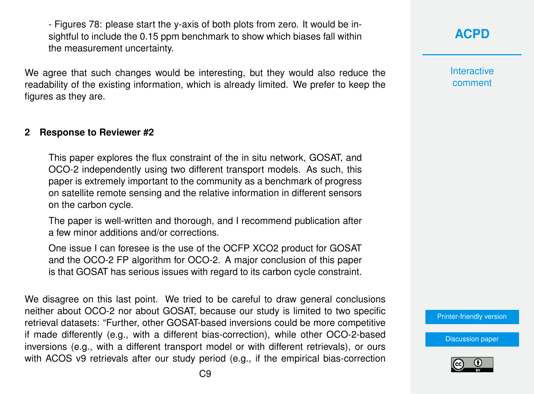- Figures 78: please start the y-axis of both plots from zero. It would be insightful to include the 0.15 ppm benchmark to show which biases fall within the measurement uncertainty.

We agree that such changes would be interesting, but they would also reduce the readability of the existing information, which is already limited. We prefer to keep the figures as they are.

#### **2 Response to Reviewer #2**

This paper explores the flux constraint of the in situ network, GOSAT, and OCO-2 independently using two different transport models. As such, this paper is extremely important to the community as a benchmark of progress on satellite remote sensing and the relative information in different sensors on the carbon cycle.

The paper is well-written and thorough, and I recommend publication after a few minor additions and/or corrections.

One issue I can foresee is the use of the OCFP XCO2 product for GOSAT and the OCO-2 FP algorithm for OCO-2. A major conclusion of this paper is that GOSAT has serious issues with regard to its carbon cycle constraint.

We disagree on this last point. We tried to be careful to draw general conclusions neither about OCO-2 nor about GOSAT, because our study is limited to two specific retrieval datasets: "Further, other GOSAT-based inversions could be more competitive if made differently (e.g., with a different bias-correction), while other OCO-2-based inversions (e.g., with a different transport model or with different retrievals), or ours with ACOS v9 retrievals after our study period (e.g., if the empirical bias-correction **Interactive** comment

[Printer-friendly version](https://www.atmos-chem-phys-discuss.net/acp-2019-213/acp-2019-213-AC1-print.pdf)

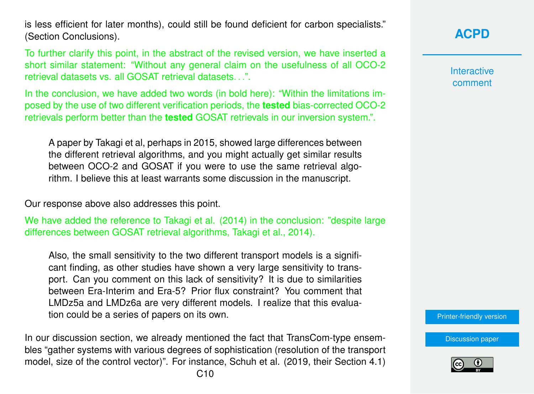is less efficient for later months), could still be found deficient for carbon specialists." (Section Conclusions).

To further clarify this point, in the abstract of the revised version, we have inserted a short similar statement: "Without any general claim on the usefulness of all OCO-2 retrieval datasets vs. all GOSAT retrieval datasets. "

In the conclusion, we have added two words (in bold here): "Within the limitations imposed by the use of two different verification periods, the **tested** bias-corrected OCO-2 retrievals perform better than the **tested** GOSAT retrievals in our inversion system.".

A paper by Takagi et al, perhaps in 2015, showed large differences between the different retrieval algorithms, and you might actually get similar results between OCO-2 and GOSAT if you were to use the same retrieval algorithm. I believe this at least warrants some discussion in the manuscript.

Our response above also addresses this point.

We have added the reference to Takagi et al. (2014) in the conclusion: "despite large differences between GOSAT retrieval algorithms, Takagi et al., 2014).

Also, the small sensitivity to the two different transport models is a significant finding, as other studies have shown a very large sensitivity to transport. Can you comment on this lack of sensitivity? It is due to similarities between Era-Interim and Era-5? Prior flux constraint? You comment that LMDz5a and LMDz6a are very different models. I realize that this evaluation could be a series of papers on its own.

In our discussion section, we already mentioned the fact that TransCom-type ensembles "gather systems with various degrees of sophistication (resolution of the transport model, size of the control vector)". For instance, Schuh et al. (2019, their Section 4.1)

# **[ACPD](https://www.atmos-chem-phys-discuss.net/)**

**Interactive** comment

[Printer-friendly version](https://www.atmos-chem-phys-discuss.net/acp-2019-213/acp-2019-213-AC1-print.pdf)

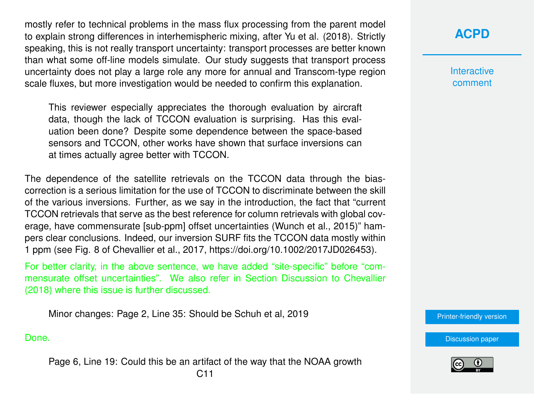mostly refer to technical problems in the mass flux processing from the parent model to explain strong differences in interhemispheric mixing, after Yu et al. (2018). Strictly speaking, this is not really transport uncertainty: transport processes are better known than what some off-line models simulate. Our study suggests that transport process uncertainty does not play a large role any more for annual and Transcom-type region scale fluxes, but more investigation would be needed to confirm this explanation.

This reviewer especially appreciates the thorough evaluation by aircraft data, though the lack of TCCON evaluation is surprising. Has this evaluation been done? Despite some dependence between the space-based sensors and TCCON, other works have shown that surface inversions can at times actually agree better with TCCON.

The dependence of the satellite retrievals on the TCCON data through the biascorrection is a serious limitation for the use of TCCON to discriminate between the skill of the various inversions. Further, as we say in the introduction, the fact that "current TCCON retrievals that serve as the best reference for column retrievals with global coverage, have commensurate [sub-ppm] offset uncertainties (Wunch et al., 2015)" hampers clear conclusions. Indeed, our inversion SURF fits the TCCON data mostly within 1 ppm (see Fig. 8 of Chevallier et al., 2017, https://doi.org/10.1002/2017JD026453).

For better clarity, in the above sentence, we have added "site-specific" before "commensurate offset uncertainties". We also refer in Section Discussion to Chevallier (2018) where this issue is further discussed.

Minor changes: Page 2, Line 35: Should be Schuh et al, 2019

#### Done.

Page 6, Line 19: Could this be an artifact of the way that the NOAA growth C11

### **[ACPD](https://www.atmos-chem-phys-discuss.net/)**

**Interactive** comment

[Printer-friendly version](https://www.atmos-chem-phys-discuss.net/acp-2019-213/acp-2019-213-AC1-print.pdf)

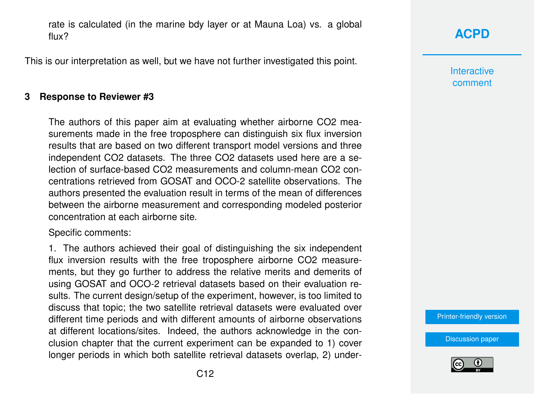rate is calculated (in the marine bdy layer or at Mauna Loa) vs. a global flux?

This is our interpretation as well, but we have not further investigated this point.

#### **3 Response to Reviewer #3**

The authors of this paper aim at evaluating whether airborne CO2 measurements made in the free troposphere can distinguish six flux inversion results that are based on two different transport model versions and three independent CO2 datasets. The three CO2 datasets used here are a selection of surface-based CO2 measurements and column-mean CO2 concentrations retrieved from GOSAT and OCO-2 satellite observations. The authors presented the evaluation result in terms of the mean of differences between the airborne measurement and corresponding modeled posterior concentration at each airborne site.

Specific comments:

1. The authors achieved their goal of distinguishing the six independent flux inversion results with the free troposphere airborne CO2 measurements, but they go further to address the relative merits and demerits of using GOSAT and OCO-2 retrieval datasets based on their evaluation results. The current design/setup of the experiment, however, is too limited to discuss that topic; the two satellite retrieval datasets were evaluated over different time periods and with different amounts of airborne observations at different locations/sites. Indeed, the authors acknowledge in the conclusion chapter that the current experiment can be expanded to 1) cover longer periods in which both satellite retrieval datasets overlap, 2) under**[ACPD](https://www.atmos-chem-phys-discuss.net/)**

**Interactive** comment

[Printer-friendly version](https://www.atmos-chem-phys-discuss.net/acp-2019-213/acp-2019-213-AC1-print.pdf)

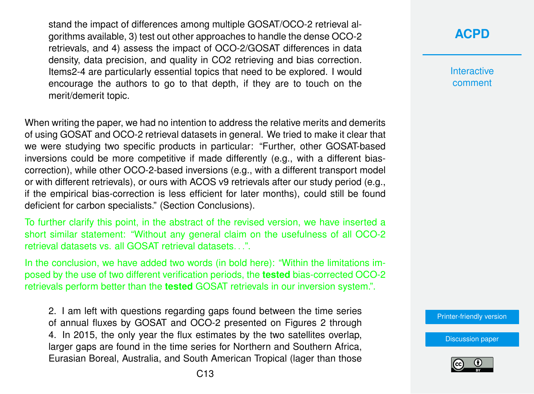stand the impact of differences among multiple GOSAT/OCO-2 retrieval algorithms available, 3) test out other approaches to handle the dense OCO-2 retrievals, and 4) assess the impact of OCO-2/GOSAT differences in data density, data precision, and quality in CO2 retrieving and bias correction. Items2-4 are particularly essential topics that need to be explored. I would encourage the authors to go to that depth, if they are to touch on the merit/demerit topic.

When writing the paper, we had no intention to address the relative merits and demerits of using GOSAT and OCO-2 retrieval datasets in general. We tried to make it clear that we were studying two specific products in particular: "Further, other GOSAT-based inversions could be more competitive if made differently (e.g., with a different biascorrection), while other OCO-2-based inversions (e.g., with a different transport model or with different retrievals), or ours with ACOS v9 retrievals after our study period (e.g., if the empirical bias-correction is less efficient for later months), could still be found deficient for carbon specialists." (Section Conclusions).

To further clarify this point, in the abstract of the revised version, we have inserted a short similar statement: "Without any general claim on the usefulness of all OCO-2 retrieval datasets vs. all GOSAT retrieval datasets. . .".

In the conclusion, we have added two words (in bold here): "Within the limitations imposed by the use of two different verification periods, the **tested** bias-corrected OCO-2 retrievals perform better than the **tested** GOSAT retrievals in our inversion system.".

2. I am left with questions regarding gaps found between the time series of annual fluxes by GOSAT and OCO-2 presented on Figures 2 through 4. In 2015, the only year the flux estimates by the two satellites overlap, larger gaps are found in the time series for Northern and Southern Africa, Eurasian Boreal, Australia, and South American Tropical (lager than those

### **[ACPD](https://www.atmos-chem-phys-discuss.net/)**

**Interactive** comment

[Printer-friendly version](https://www.atmos-chem-phys-discuss.net/acp-2019-213/acp-2019-213-AC1-print.pdf)

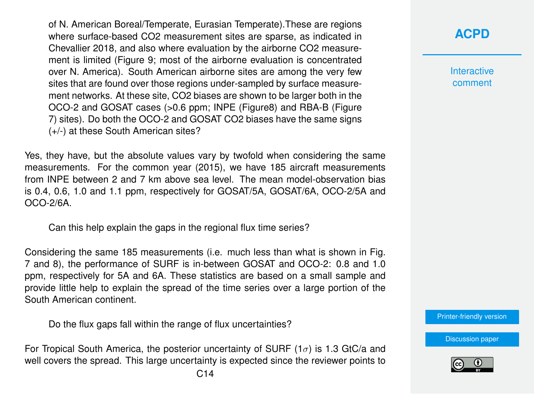of N. American Boreal/Temperate, Eurasian Temperate).These are regions where surface-based CO2 measurement sites are sparse, as indicated in Chevallier 2018, and also where evaluation by the airborne CO2 measurement is limited (Figure 9; most of the airborne evaluation is concentrated over N. America). South American airborne sites are among the very few sites that are found over those regions under-sampled by surface measurement networks. At these site, CO2 biases are shown to be larger both in the OCO-2 and GOSAT cases (>0.6 ppm; INPE (Figure8) and RBA-B (Figure 7) sites). Do both the OCO-2 and GOSAT CO2 biases have the same signs (+/-) at these South American sites?

Yes, they have, but the absolute values vary by twofold when considering the same measurements. For the common year (2015), we have 185 aircraft measurements from INPE between 2 and 7 km above sea level. The mean model-observation bias is 0.4, 0.6, 1.0 and 1.1 ppm, respectively for GOSAT/5A, GOSAT/6A, OCO-2/5A and OCO-2/6A.

Can this help explain the gaps in the regional flux time series?

Considering the same 185 measurements (i.e. much less than what is shown in Fig. 7 and 8), the performance of SURF is in-between GOSAT and OCO-2: 0.8 and 1.0 ppm, respectively for 5A and 6A. These statistics are based on a small sample and provide little help to explain the spread of the time series over a large portion of the South American continent.

Do the flux gaps fall within the range of flux uncertainties?

For Tropical South America, the posterior uncertainty of SURF  $(1\sigma)$  is 1.3 GtC/a and well covers the spread. This large uncertainty is expected since the reviewer points to **Interactive** comment

[Printer-friendly version](https://www.atmos-chem-phys-discuss.net/acp-2019-213/acp-2019-213-AC1-print.pdf)

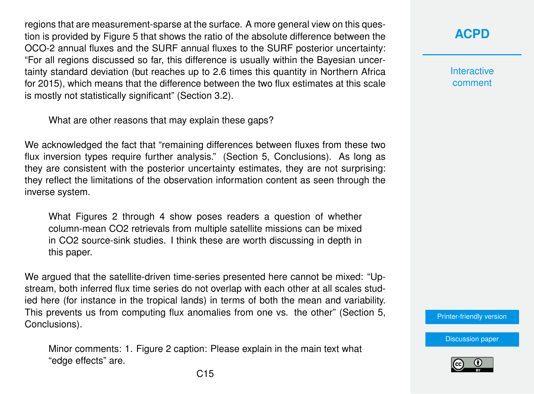regions that are measurement-sparse at the surface. A more general view on this question is provided by Figure 5 that shows the ratio of the absolute difference between the OCO-2 annual fluxes and the SURF annual fluxes to the SURF posterior uncertainty: "For all regions discussed so far, this difference is usually within the Bayesian uncertainty standard deviation (but reaches up to 2.6 times this quantity in Northern Africa for 2015), which means that the difference between the two flux estimates at this scale is mostly not statistically significant" (Section 3.2).

What are other reasons that may explain these gaps?

We acknowledged the fact that "remaining differences between fluxes from these two flux inversion types require further analysis." (Section 5, Conclusions). As long as they are consistent with the posterior uncertainty estimates, they are not surprising: they reflect the limitations of the observation information content as seen through the inverse system.

What Figures 2 through 4 show poses readers a question of whether column-mean CO2 retrievals from multiple satellite missions can be mixed in CO2 source-sink studies. I think these are worth discussing in depth in this paper.

We arqued that the satellite-driven time-series presented here cannot be mixed: "Upstream, both inferred flux time series do not overlap with each other at all scales studied here (for instance in the tropical lands) in terms of both the mean and variability. This prevents us from computing flux anomalies from one vs. the other" (Section 5, Conclusions).

Minor comments: 1. Figure 2 caption: Please explain in the main text what "edge effects" are.

**[ACPD](https://www.atmos-chem-phys-discuss.net/)**

**Interactive** comment

[Printer-friendly version](https://www.atmos-chem-phys-discuss.net/acp-2019-213/acp-2019-213-AC1-print.pdf)